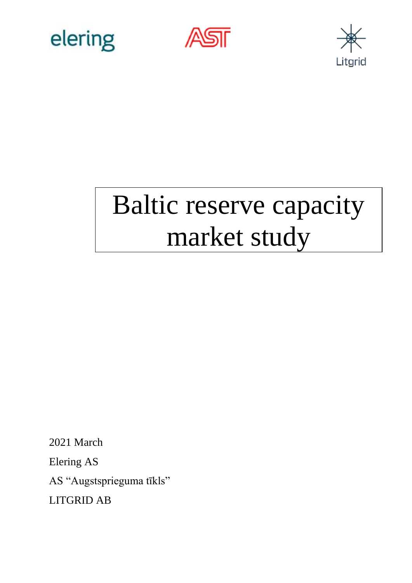





# Baltic reserve capacity market study

2021 March

Elering AS

AS "Augstsprieguma tīkls"

LITGRID AB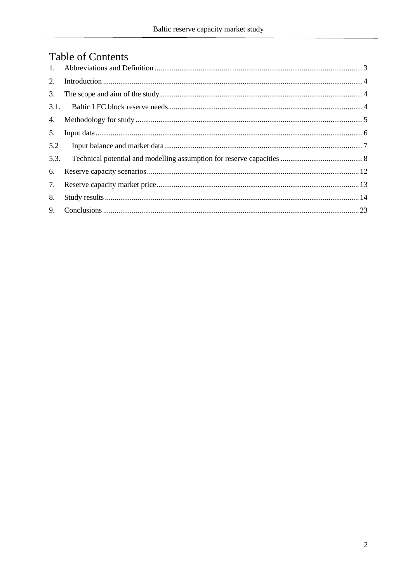## **Table of Contents**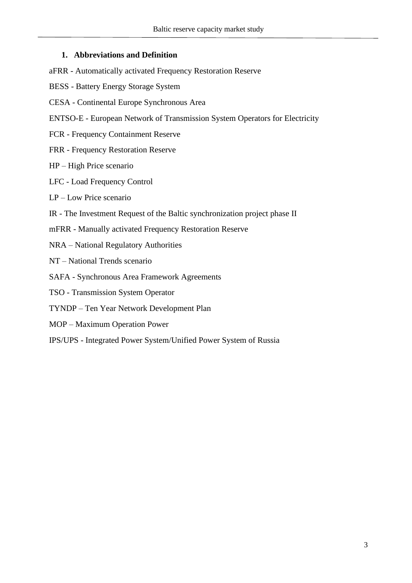#### <span id="page-2-0"></span>**1. Abbreviations and Definition**

- aFRR Automatically activated Frequency Restoration Reserve
- BESS Battery Energy Storage System
- CESA Continental Europe Synchronous Area
- ENTSO-E European Network of Transmission System Operators for Electricity
- FCR Frequency Containment Reserve
- FRR Frequency Restoration Reserve
- HP High Price scenario
- LFC Load Frequency Control
- LP Low Price scenario
- IR The Investment Request of the Baltic synchronization project phase II
- mFRR Manually activated Frequency Restoration Reserve
- NRA National Regulatory Authorities
- NT National Trends scenario
- SAFA Synchronous Area Framework Agreements
- TSO Transmission System Operator
- TYNDP Ten Year Network Development Plan
- MOP Maximum Operation Power
- IPS/UPS Integrated Power System/Unified Power System of Russia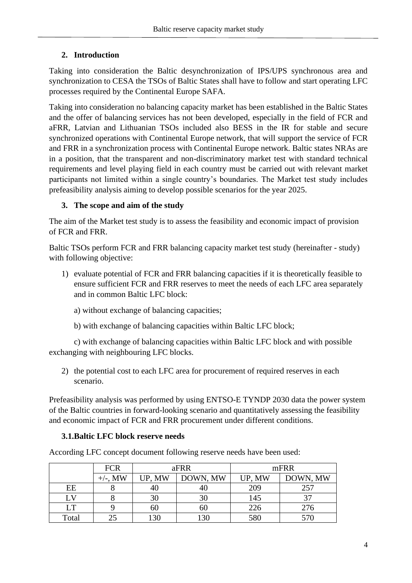#### <span id="page-3-0"></span>**2. Introduction**

Taking into consideration the Baltic desynchronization of IPS/UPS synchronous area and synchronization to CESA the TSOs of Baltic States shall have to follow and start operating LFC processes required by the Continental Europe SAFA.

Taking into consideration no balancing capacity market has been established in the Baltic States and the offer of balancing services has not been developed, especially in the field of FCR and aFRR, Latvian and Lithuanian TSOs included also BESS in the IR for stable and secure synchronized operations with Continental Europe network, that will support the service of FCR and FRR in a synchronization process with Continental Europe network. Baltic states NRAs are in a position, that the transparent and non-discriminatory market test with standard technical requirements and level playing field in each country must be carried out with relevant market participants not limited within a single country's boundaries. The Market test study includes prefeasibility analysis aiming to develop possible scenarios for the year 2025.

#### <span id="page-3-1"></span>**3. The scope and aim of the study**

The aim of the Market test study is to assess the feasibility and economic impact of provision of FCR and FRR.

Baltic TSOs perform FCR and FRR balancing capacity market test study (hereinafter - study) with following objective:

- 1) evaluate potential of FCR and FRR balancing capacities if it is theoretically feasible to ensure sufficient FCR and FRR reserves to meet the needs of each LFC area separately and in common Baltic LFC block:
	- a) without exchange of balancing capacities;
	- b) with exchange of balancing capacities within Baltic LFC block;

c) with exchange of balancing capacities within Baltic LFC block and with possible exchanging with neighbouring LFC blocks.

2) the potential cost to each LFC area for procurement of required reserves in each scenario.

Prefeasibility analysis was performed by using ENTSO-E TYNDP 2030 data the power system of the Baltic countries in forward-looking scenario and quantitatively assessing the feasibility and economic impact of FCR and FRR procurement under different conditions.

#### <span id="page-3-2"></span>**3.1.Baltic LFC block reserve needs**

According LFC concept document following reserve needs have been used:

|           | <b>FCR</b> | aFRR               |     |        | mFRR     |
|-----------|------------|--------------------|-----|--------|----------|
|           | +/-. MW    | DOWN, MW<br>UP, MW |     | UP, MW | DOWN, MW |
| EE        |            | 40                 | 40  | 209    | 257      |
| LV        |            | 30                 | 30  | 145    |          |
| <b>LT</b> |            | 60                 | 60  | 226    | 276      |
| Total     |            | 130                | 130 | 580    | 570      |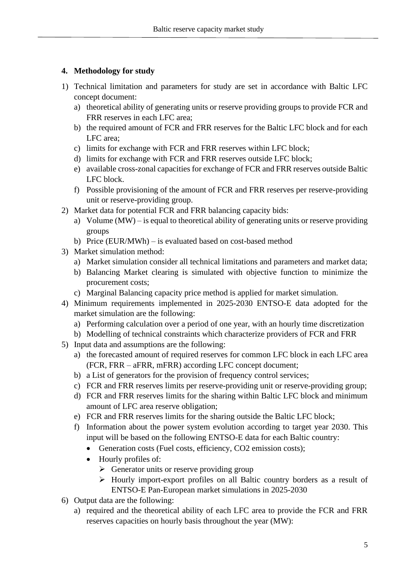#### <span id="page-4-0"></span>**4. Methodology for study**

- 1) Technical limitation and parameters for study are set in accordance with Baltic LFC concept document:
	- a) theoretical ability of generating units or reserve providing groups to provide FCR and FRR reserves in each LFC area;
	- b) the required amount of FCR and FRR reserves for the Baltic LFC block and for each LFC area;
	- c) limits for exchange with FCR and FRR reserves within LFC block;
	- d) limits for exchange with FCR and FRR reserves outside LFC block;
	- e) available cross-zonal capacities for exchange of FCR and FRR reserves outside Baltic LFC block.
	- f) Possible provisioning of the amount of FCR and FRR reserves per reserve-providing unit or reserve-providing group.
- 2) Market data for potential FCR and FRR balancing capacity bids:
	- a) Volume (MW) is equal to theoretical ability of generating units or reserve providing groups
	- b) Price (EUR/MWh) is evaluated based on cost-based method
- 3) Market simulation method:
	- a) Market simulation consider all technical limitations and parameters and market data;
	- b) Balancing Market clearing is simulated with objective function to minimize the procurement costs;
	- c) Marginal Balancing capacity price method is applied for market simulation.
- 4) Minimum requirements implemented in 2025-2030 ENTSO-E data adopted for the market simulation are the following:
	- a) Performing calculation over a period of one year, with an hourly time discretization
	- b) Modelling of technical constraints which characterize providers of FCR and FRR
- 5) Input data and assumptions are the following:
	- a) the forecasted amount of required reserves for common LFC block in each LFC area (FCR, FRR – aFRR, mFRR) according LFC concept document;
	- b) a List of generators for the provision of frequency control services;
	- c) FCR and FRR reserves limits per reserve-providing unit or reserve-providing group;
	- d) FCR and FRR reserves limits for the sharing within Baltic LFC block and minimum amount of LFC area reserve obligation;
	- e) FCR and FRR reserves limits for the sharing outside the Baltic LFC block;
	- f) Information about the power system evolution according to target year 2030. This input will be based on the following ENTSO-E data for each Baltic country:
		- Generation costs (Fuel costs, efficiency, CO2 emission costs);
		- Hourly profiles of:
			- $\triangleright$  Generator units or reserve providing group
			- ➢ Hourly import-export profiles on all Baltic country borders as a result of ENTSO-E Pan-European market simulations in 2025-2030
- 6) Output data are the following:
	- a) required and the theoretical ability of each LFC area to provide the FCR and FRR reserves capacities on hourly basis throughout the year (MW):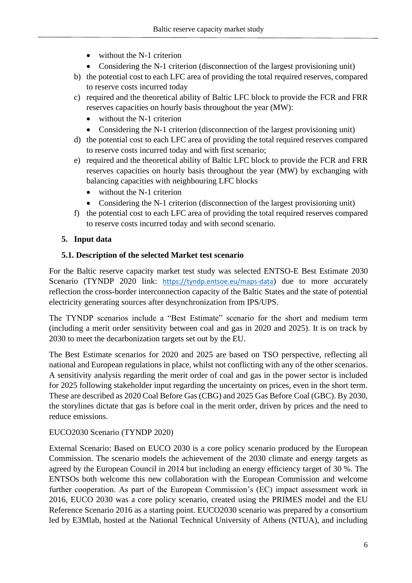- without the N-1 criterion
- Considering the N-1 criterion (disconnection of the largest provisioning unit)
- b) the potential cost to each LFC area of providing the total required reserves, compared to reserve costs incurred today
- c) required and the theoretical ability of Baltic LFC block to provide the FCR and FRR reserves capacities on hourly basis throughout the year (MW):
	- without the N-1 criterion
	- Considering the N-1 criterion (disconnection of the largest provisioning unit)
- d) the potential cost to each LFC area of providing the total required reserves compared to reserve costs incurred today and with first scenario;
- e) required and the theoretical ability of Baltic LFC block to provide the FCR and FRR reserves capacities on hourly basis throughout the year (MW) by exchanging with balancing capacities with neighbouring LFC blocks
	- without the N-1 criterion
	- Considering the N-1 criterion (disconnection of the largest provisioning unit)
- f) the potential cost to each LFC area of providing the total required reserves compared to reserve costs incurred today and with second scenario.

## <span id="page-5-0"></span>**5. Input data**

## **5.1. Description of the selected Market test scenario**

For the Baltic reserve capacity market test study was selected ENTSO-E Best Estimate 2030 Scenario (TYNDP 2020 link: <https://tyndp.entsoe.eu/maps-data>) due to more accurately reflection the cross-border interconnection capacity of the Baltic States and the state of potential electricity generating sources after desynchronization from IPS/UPS.

The TYNDP scenarios include a "Best Estimate" scenario for the short and medium term (including a merit order sensitivity between coal and gas in 2020 and 2025). It is on track by 2030 to meet the decarbonization targets set out by the EU.

The Best Estimate scenarios for 2020 and 2025 are based on TSO perspective, reflecting all national and European regulations in place, whilst not conflicting with any of the other scenarios. A sensitivity analysis regarding the merit order of coal and gas in the power sector is included for 2025 following stakeholder input regarding the uncertainty on prices, even in the short term. These are described as 2020 Coal Before Gas (CBG) and 2025 Gas Before Coal (GBC). By 2030, the storylines dictate that gas is before coal in the merit order, driven by prices and the need to reduce emissions.

## EUCO2030 Scenario (TYNDP 2020)

External Scenario: Based on EUCO 2030 is a core policy scenario produced by the European Commission. The scenario models the achievement of the 2030 climate and energy targets as agreed by the European Council in 2014 but including an energy efficiency target of 30 %. The ENTSOs both welcome this new collaboration with the European Commission and welcome further cooperation. As part of the European Commission's (EC) impact assessment work in 2016, EUCO 2030 was a core policy scenario, created using the PRIMES model and the EU Reference Scenario 2016 as a starting point. EUCO2030 scenario was prepared by a consortium led by E3Mlab, hosted at the National Technical University of Athens (NTUA), and including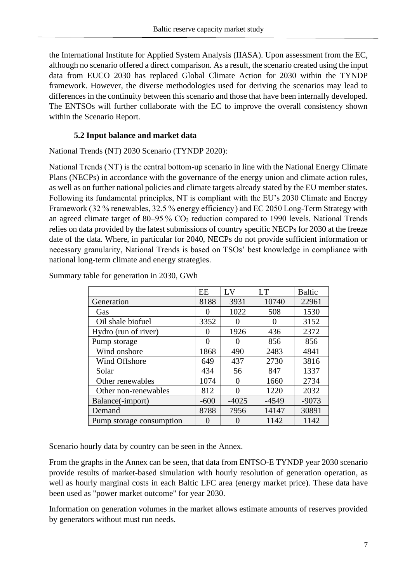the International Institute for Applied System Analysis (IIASA). Upon assessment from the EC, although no scenario offered a direct comparison. As a result, the scenario created using the input data from EUCO 2030 has replaced Global Climate Action for 2030 within the TYNDP framework. However, the diverse methodologies used for deriving the scenarios may lead to differences in the continuity between this scenario and those that have been internally developed. The ENTSOs will further collaborate with the EC to improve the overall consistency shown within the Scenario Report.

#### **5.2 Input balance and market data**

<span id="page-6-0"></span>National Trends (NT) 2030 Scenario (TYNDP 2020):

National Trends ( NT ) is the central bottom-up scenario in line with the National Energy Climate Plans (NECPs) in accordance with the governance of the energy union and climate action rules, as well as on further national policies and climate targets already stated by the EU member states. Following its fundamental principles, NT is compliant with the EU's 2030 Climate and Energy Framework (32 % renewables, 32.5 % energy efficiency) and EC 2050 Long-Term Strategy with an agreed climate target of 80–95 % CO<sub>2</sub> reduction compared to 1990 levels. National Trends relies on data provided by the latest submissions of country specific NECPs for 2030 at the freeze date of the data. Where, in particular for 2040, NECPs do not provide sufficient information or necessary granularity, National Trends is based on TSOs' best knowledge in compliance with national long-term climate and energy strategies.

|                          | EE                | $L_{\rm X}$ | <b>LT</b> | <b>Baltic</b> |
|--------------------------|-------------------|-------------|-----------|---------------|
| Generation               | 8188              | 3931        | 10740     | 22961         |
| Gas                      | $\mathbf{\Omega}$ | 1022        | 508       | 1530          |
| Oil shale biofuel        | 3352              | 0           |           | 3152          |
| Hydro (run of river)     | $\theta$          | 1926        | 436       | 2372          |
| Pump storage             | $\Omega$          | 0           | 856       | 856           |
| Wind onshore             | 1868              | 490         | 2483      | 4841          |
| Wind Offshore            | 649               | 437         | 2730      | 3816          |
| Solar                    | 434               | 56          | 847       | 1337          |
| Other renewables         | 1074              | 0           | 1660      | 2734          |
| Other non-renewables     | 812               | 0           | 1220      | 2032          |
| Balance(-import)         | $-600$            | $-4025$     | $-4549$   | $-9073$       |
| Demand                   | 8788              | 7956        | 14147     | 30891         |
| Pump storage consumption | $\mathbf{\Omega}$ | 0           | 1142      | 1142          |

Summary table for generation in 2030, GWh

Scenario hourly data by country can be seen in the Annex.

From the graphs in the Annex can be seen, that data from ENTSO-E TYNDP year 2030 scenario provide results of market-based simulation with hourly resolution of generation operation, as well as hourly marginal costs in each Baltic LFC area (energy market price). These data have been used as "power market outcome" for year 2030.

Information on generation volumes in the market allows estimate amounts of reserves provided by generators without must run needs.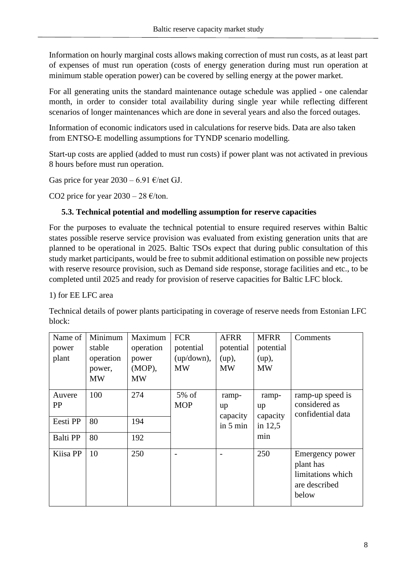Information on hourly marginal costs allows making correction of must run costs, as at least part of expenses of must run operation (costs of energy generation during must run operation at minimum stable operation power) can be covered by selling energy at the power market.

For all generating units the standard maintenance outage schedule was applied - one calendar month, in order to consider total availability during single year while reflecting different scenarios of longer maintenances which are done in several years and also the forced outages.

Information of economic indicators used in calculations for reserve bids. Data are also taken from ENTSO-E modelling assumptions for TYNDP scenario modelling.

Start-up costs are applied (added to must run costs) if power plant was not activated in previous 8 hours before must run operation.

Gas price for year  $2030 - 6.91$  €/net GJ.

CO2 price for year  $2030 - 28 \text{ E/ton}$ .

## <span id="page-7-0"></span>**5.3. Technical potential and modelling assumption for reserve capacities**

For the purposes to evaluate the technical potential to ensure required reserves within Baltic states possible reserve service provision was evaluated from existing generation units that are planned to be operational in 2025. Baltic TSOs expect that during public consultation of this study market participants, would be free to submit additional estimation on possible new projects with reserve resource provision, such as Demand side response, storage facilities and etc., to be completed until 2025 and ready for provision of reserve capacities for Baltic LFC block.

1) for EE LFC area

Technical details of power plants participating in coverage of reserve needs from Estonian LFC block:

| Name of<br>power<br>plant | Minimum<br>stable<br>operation<br>power,<br><b>MW</b> | Maximum<br>operation<br>power<br>$(MOP)$ ,<br><b>MW</b> | <b>FCR</b><br>potential<br>(up / down),<br><b>MW</b> | <b>AFRR</b><br>potential<br>(up),<br><b>MW</b> | <b>MFRR</b><br>potential<br>(up),<br><b>MW</b> | Comments                                                                    |
|---------------------------|-------------------------------------------------------|---------------------------------------------------------|------------------------------------------------------|------------------------------------------------|------------------------------------------------|-----------------------------------------------------------------------------|
| Auvere<br>PP              | 100                                                   | 274                                                     | $5\% \text{ of }$<br><b>MOP</b>                      | ramp-<br>up<br>capacity                        | ramp-<br>up<br>capacity                        | ramp-up speed is<br>considered as<br>confidential data                      |
| Eesti PP                  | 80                                                    | 194                                                     |                                                      | in $5 \text{ min}$                             | in $12,5$                                      |                                                                             |
| <b>Balti PP</b>           | 80                                                    | 192                                                     |                                                      |                                                | min                                            |                                                                             |
| Kiisa PP                  | 10                                                    | 250                                                     |                                                      |                                                | 250                                            | Emergency power<br>plant has<br>limitations which<br>are described<br>below |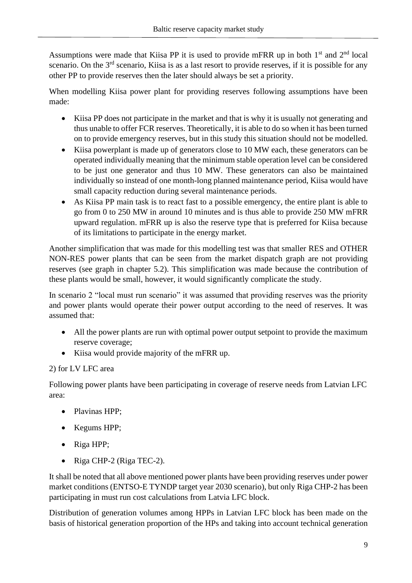Assumptions were made that Kiisa PP it is used to provide mFRR up in both 1<sup>st</sup> and 2<sup>nd</sup> local scenario. On the  $3<sup>rd</sup>$  scenario, Kiisa is as a last resort to provide reserves, if it is possible for any other PP to provide reserves then the later should always be set a priority.

When modelling Kiisa power plant for providing reserves following assumptions have been made:

- Kiisa PP does not participate in the market and that is why it is usually not generating and thus unable to offer FCR reserves. Theoretically, it is able to do so when it has been turned on to provide emergency reserves, but in this study this situation should not be modelled.
- Kiisa powerplant is made up of generators close to 10 MW each, these generators can be operated individually meaning that the minimum stable operation level can be considered to be just one generator and thus 10 MW. These generators can also be maintained individually so instead of one month-long planned maintenance period, Kiisa would have small capacity reduction during several maintenance periods.
- As Kiisa PP main task is to react fast to a possible emergency, the entire plant is able to go from 0 to 250 MW in around 10 minutes and is thus able to provide 250 MW mFRR upward regulation. mFRR up is also the reserve type that is preferred for Kiisa because of its limitations to participate in the energy market.

Another simplification that was made for this modelling test was that smaller RES and OTHER NON-RES power plants that can be seen from the market dispatch graph are not providing reserves (see graph in chapter 5.2). This simplification was made because the contribution of these plants would be small, however, it would significantly complicate the study.

In scenario 2 "local must run scenario" it was assumed that providing reserves was the priority and power plants would operate their power output according to the need of reserves. It was assumed that:

- All the power plants are run with optimal power output setpoint to provide the maximum reserve coverage;
- Kiisa would provide majority of the mFRR up.

## 2) for LV LFC area

Following power plants have been participating in coverage of reserve needs from Latvian LFC area:

- Plavinas HPP;
- Kegums HPP;
- Riga HPP;
- Riga CHP-2 (Riga TEC-2).

It shall be noted that all above mentioned power plants have been providing reserves under power market conditions (ENTSO-E TYNDP target year 2030 scenario), but only Riga CHP-2 has been participating in must run cost calculations from Latvia LFC block.

Distribution of generation volumes among HPPs in Latvian LFC block has been made on the basis of historical generation proportion of the HPs and taking into account technical generation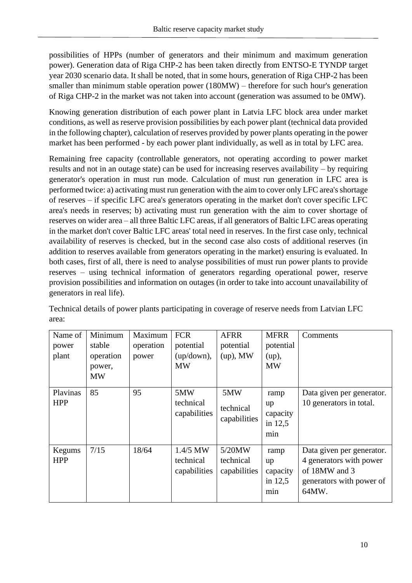possibilities of HPPs (number of generators and their minimum and maximum generation power). Generation data of Riga CHP-2 has been taken directly from ENTSO-E TYNDP target year 2030 scenario data. It shall be noted, that in some hours, generation of Riga CHP-2 has been smaller than minimum stable operation power (180MW) – therefore for such hour's generation of Riga CHP-2 in the market was not taken into account (generation was assumed to be 0MW).

Knowing generation distribution of each power plant in Latvia LFC block area under market conditions, as well as reserve provision possibilities by each power plant (technical data provided in the following chapter), calculation of reserves provided by power plants operating in the power market has been performed - by each power plant individually, as well as in total by LFC area.

Remaining free capacity (controllable generators, not operating according to power market results and not in an outage state) can be used for increasing reserves availability – by requiring generator's operation in must run mode. Calculation of must run generation in LFC area is performed twice: a) activating must run generation with the aim to cover only LFC area's shortage of reserves – if specific LFC area's generators operating in the market don't cover specific LFC area's needs in reserves; b) activating must run generation with the aim to cover shortage of reserves on wider area – all three Baltic LFC areas, if all generators of Baltic LFC areas operating in the market don't cover Baltic LFC areas' total need in reserves. In the first case only, technical availability of reserves is checked, but in the second case also costs of additional reserves (in addition to reserves available from generators operating in the market) ensuring is evaluated. In both cases, first of all, there is need to analyse possibilities of must run power plants to provide reserves – using technical information of generators regarding operational power, reserve provision possibilities and information on outages (in order to take into account unavailability of generators in real life).

| Name of<br>power<br>plant | Minimum<br>stable<br>operation<br>power,<br><b>MW</b> | Maximum<br>operation<br>power | <b>FCR</b><br>potential<br>$(up / down)$ ,<br><b>MW</b> | <b>AFRR</b><br>potential<br>$(up)$ , MW | <b>MFRR</b><br>potential<br>(up),<br><b>MW</b> | Comments                                                                                                   |
|---------------------------|-------------------------------------------------------|-------------------------------|---------------------------------------------------------|-----------------------------------------|------------------------------------------------|------------------------------------------------------------------------------------------------------------|
| Plavinas<br><b>HPP</b>    | 85                                                    | 95                            | 5MW<br>technical<br>capabilities                        | 5MW<br>technical<br>capabilities        | ramp<br>up<br>capacity<br>in $12,5$<br>min     | Data given per generator.<br>10 generators in total.                                                       |
| Kegums<br><b>HPP</b>      | 7/15                                                  | 18/64                         | $1.4/5$ MW<br>technical<br>capabilities                 | 5/20MW<br>technical<br>capabilities     | ramp<br>up<br>capacity<br>in $12,5$<br>min     | Data given per generator.<br>4 generators with power<br>of 18MW and 3<br>generators with power of<br>64MW. |

Technical details of power plants participating in coverage of reserve needs from Latvian LFC area: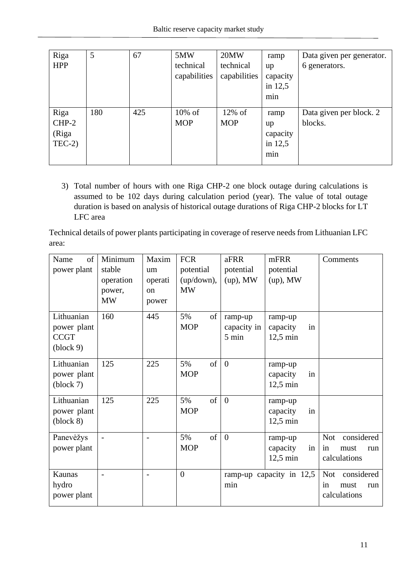| Riga<br><b>HPP</b>                  | 5   | 67  | 5MW<br>technical<br>capabilities | 20MW<br>technical<br>capabilities | ramp<br>up<br>capacity<br>in $12,5$<br>min | Data given per generator.<br>6 generators. |
|-------------------------------------|-----|-----|----------------------------------|-----------------------------------|--------------------------------------------|--------------------------------------------|
| Riga<br>$CHP-2$<br>(Riga<br>$TEC-2$ | 180 | 425 | $10\%$ of<br><b>MOP</b>          | $12\%$ of<br><b>MOP</b>           | ramp<br>up<br>capacity<br>in $12,5$<br>min | Data given per block. 2<br>blocks.         |

3) Total number of hours with one Riga CHP-2 one block outage during calculations is assumed to be 102 days during calculation period (year). The value of total outage duration is based on analysis of historical outage durations of Riga CHP-2 blocks for LT LFC area

Technical details of power plants participating in coverage of reserve needs from Lithuanian LFC area:

| of<br>Name                       | Minimum   | Maxim         | <b>FCR</b>       | aFRR           | mFRR                     | Comments                 |
|----------------------------------|-----------|---------------|------------------|----------------|--------------------------|--------------------------|
| power plant                      | stable    | um            | potential        | potential      | potential                |                          |
|                                  | operation | operati       | (up / down),     | $(up)$ , MW    | $(up)$ , MW              |                          |
|                                  | power,    | <sub>on</sub> | <b>MW</b>        |                |                          |                          |
|                                  | <b>MW</b> | power         |                  |                |                          |                          |
| Lithuanian                       | 160       | 445           | 5%<br>of         | ramp-up        | ramp-up                  |                          |
| power plant                      |           |               | <b>MOP</b>       | capacity in    | capacity<br>in           |                          |
| <b>CCGT</b>                      |           |               |                  | 5 min          | $12,5$ min               |                          |
| $\left( \text{block } 9 \right)$ |           |               |                  |                |                          |                          |
| Lithuanian                       | 125       | 225           | of<br>5%         | $\overline{0}$ | ramp-up                  |                          |
| power plant                      |           |               | <b>MOP</b>       |                | capacity<br>in           |                          |
| (block 7)                        |           |               |                  |                | $12,5$ min               |                          |
| Lithuanian                       | 125       | 225           | 5%<br>of         | $\overline{0}$ | ramp-up                  |                          |
| power plant                      |           |               | <b>MOP</b>       |                | in<br>capacity           |                          |
| (block 8)                        |           |               |                  |                | $12,5$ min               |                          |
| Panevėžys                        |           |               | of<br>5%         | $\overline{0}$ | ramp-up                  | considered<br><b>Not</b> |
| power plant                      |           |               | <b>MOP</b>       |                | capacity<br>in           | in<br>must<br>run        |
|                                  |           |               |                  |                | $12,5$ min               | calculations             |
| Kaunas                           |           |               | $\boldsymbol{0}$ |                | ramp-up capacity in 12,5 | considered<br><b>Not</b> |
| hydro                            |           |               |                  | min            |                          | in<br>must<br>run        |
| power plant                      |           |               |                  |                |                          | calculations             |
|                                  |           |               |                  |                |                          |                          |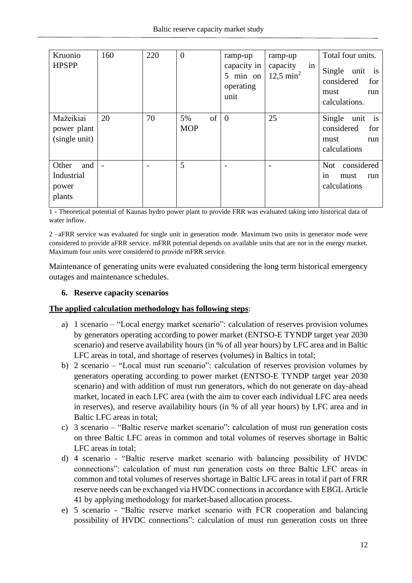| Kruonio<br><b>HPSPP</b>                       | 160                      | 220 | $\theta$               | ramp-up<br>capacity in<br>5 min on<br>operating<br>unit | ramp-up<br>in<br>capacity<br>$12.5 \text{ min}^2$ | Total four units.<br>Single unit is<br>considered<br>for<br>must<br>run<br>calculations. |
|-----------------------------------------------|--------------------------|-----|------------------------|---------------------------------------------------------|---------------------------------------------------|------------------------------------------------------------------------------------------|
| Mažeikiai<br>power plant<br>(single unit)     | 20                       | 70  | of<br>5%<br><b>MOP</b> | $\theta$                                                | 25                                                | Single unit is<br>considered<br>for<br>must<br>run<br>calculations                       |
| Other<br>and<br>Industrial<br>power<br>plants | $\overline{\phantom{a}}$ |     | 5                      |                                                         |                                                   | considered<br>Not<br>must<br>run<br>1n<br>calculations                                   |

1 - Theoretical potential of Kaunas hydro power plant to provide FRR was evaluated taking into historical data of water inflow.

2 –aFRR service was evaluated for single unit in generation mode. Maximum two units in generator mode were considered to provide aFRR service. mFRR potential depends on available units that are not in the energy market. Maximum four units were considered to provide mFRR service.

Maintenance of generating units were evaluated considering the long term historical emergency outages and maintenance schedules.

#### <span id="page-11-0"></span>**6. Reserve capacity scenarios**

#### **The applied calculation methodology has following steps**:

- a) 1 scenario "Local energy market scenario": calculation of reserves provision volumes by generators operating according to power market (ENTSO-E TYNDP target year 2030 scenario) and reserve availability hours (in % of all year hours) by LFC area and in Baltic LFC areas in total, and shortage of reserves (volumes) in Baltics in total;
- b) 2 scenario "Local must run scenario": calculation of reserves provision volumes by generators operating according to power market (ENTSO-E TYNDP target year 2030 scenario) and with addition of must run generators, which do not generate on day-ahead market, located in each LFC area (with the aim to cover each individual LFC area needs in reserves), and reserve availability hours (in % of all year hours) by LFC area and in Baltic LFC areas in total;
- c) 3 scenario "Baltic reserve market scenario": calculation of must run generation costs on three Baltic LFC areas in common and total volumes of reserves shortage in Baltic LFC areas in total;
- d) 4 scenario "Baltic reserve market scenario with balancing possibility of HVDC connections": calculation of must run generation costs on three Baltic LFC areas in common and total volumes of reserves shortage in Baltic LFC areas in total if part of FRR reserve needs can be exchanged via HVDC connections in accordance with EBGL Article 41 by applying methodology for market-based allocation process.
- e) 5 scenario "Baltic reserve market scenario with FCR cooperation and balancing possibility of HVDC connections": calculation of must run generation costs on three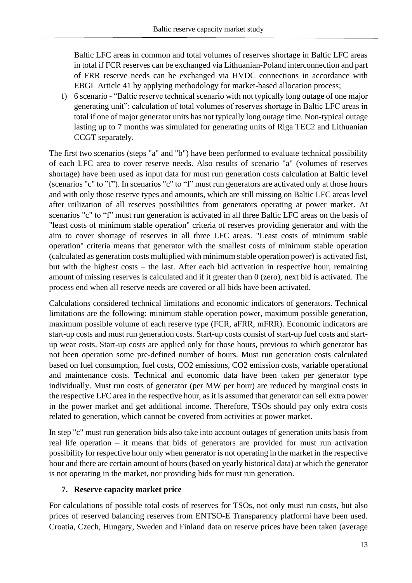Baltic LFC areas in common and total volumes of reserves shortage in Baltic LFC areas in total if FCR reserves can be exchanged via Lithuanian-Poland interconnection and part of FRR reserve needs can be exchanged via HVDC connections in accordance with EBGL Article 41 by applying methodology for market-based allocation process;

f) 6 scenario - "Baltic reserve technical scenario with not typically long outage of one major generating unit": calculation of total volumes of reserves shortage in Baltic LFC areas in total if one of major generator units has not typically long outage time. Non-typical outage lasting up to 7 months was simulated for generating units of Riga TEC2 and Lithuanian CCGT separately.

The first two scenarios (steps "a" and "b") have been performed to evaluate technical possibility of each LFC area to cover reserve needs. Also results of scenario "a" (volumes of reserves shortage) have been used as input data for must run generation costs calculation at Baltic level (scenarios "c" to "f"). In scenarios "c" to "f" must run generators are activated only at those hours and with only those reserve types and amounts, which are still missing on Baltic LFC areas level after utilization of all reserves possibilities from generators operating at power market. At scenarios "c" to "f" must run generation is activated in all three Baltic LFC areas on the basis of "least costs of minimum stable operation" criteria of reserves providing generator and with the aim to cover shortage of reserves in all three LFC areas. "Least costs of minimum stable operation" criteria means that generator with the smallest costs of minimum stable operation (calculated as generation costs multiplied with minimum stable operation power) is activated fist, but with the highest costs – the last. After each bid activation in respective hour, remaining amount of missing reserves is calculated and if it greater than 0 (zero), next bid is activated. The process end when all reserve needs are covered or all bids have been activated.

Calculations considered technical limitations and economic indicators of generators. Technical limitations are the following: minimum stable operation power, maximum possible generation, maximum possible volume of each reserve type (FCR, aFRR, mFRR). Economic indicators are start-up costs and must run generation costs. Start-up costs consist of start-up fuel costs and startup wear costs. Start-up costs are applied only for those hours, previous to which generator has not been operation some pre-defined number of hours. Must run generation costs calculated based on fuel consumption, fuel costs, CO2 emissions, CO2 emission costs, variable operational and maintenance costs. Technical and economic data have been taken per generator type individually. Must run costs of generator (per MW per hour) are reduced by marginal costs in the respective LFC area in the respective hour, as it is assumed that generator can sell extra power in the power market and get additional income. Therefore, TSOs should pay only extra costs related to generation, which cannot be covered from activities at power market.

In step "c" must run generation bids also take into account outages of generation units basis from real life operation – it means that bids of generators are provided for must run activation possibility for respective hour only when generator is not operating in the market in the respective hour and there are certain amount of hours (based on yearly historical data) at which the generator is not operating in the market, nor providing bids for must run generation.

#### <span id="page-12-0"></span>**7. Reserve capacity market price**

For calculations of possible total costs of reserves for TSOs, not only must run costs, but also prices of reserved balancing reserves from ENTSO-E Transparency platformi have been used. Croatia, Czech, Hungary, Sweden and Finland data on reserve prices have been taken (average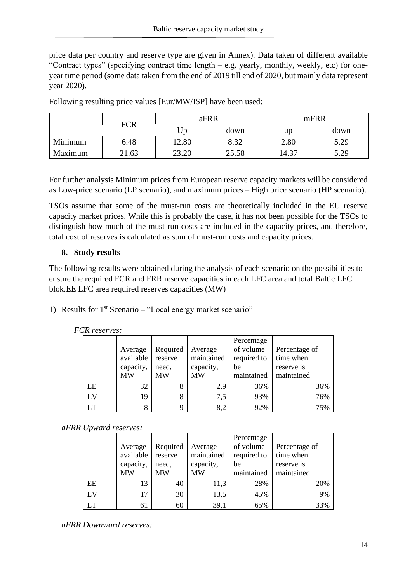price data per country and reserve type are given in Annex). Data taken of different available "Contract types" (specifying contract time length – e.g. yearly, monthly, weekly, etc) for oneyear time period (some data taken from the end of 2019 till end of 2020, but mainly data represent year 2020).

|         |            |       | aFRR  | mFRR  |      |  |
|---------|------------|-------|-------|-------|------|--|
|         | <b>FCR</b> | Up    | down  | up    | down |  |
| Minimum | 6.48       | 12.80 | 8.32  | 2.80  | 5.29 |  |
| Maximum | 21.63      | 23.20 | 25.58 | 14.37 | 5.29 |  |

Following resulting price values [Eur/MW/ISP] have been used:

For further analysis Minimum prices from European reserve capacity markets will be considered as Low-price scenario (LP scenario), and maximum prices – High price scenario (HP scenario).

TSOs assume that some of the must-run costs are theoretically included in the EU reserve capacity market prices. While this is probably the case, it has not been possible for the TSOs to distinguish how much of the must-run costs are included in the capacity prices, and therefore, total cost of reserves is calculated as sum of must-run costs and capacity prices.

#### <span id="page-13-0"></span>**8. Study results**

The following results were obtained during the analysis of each scenario on the possibilities to ensure the required FCR and FRR reserve capacities in each LFC area and total Baltic LFC blok.EE LFC area required reserves capacities (MW)

1) Results for  $1<sup>st</sup>$  Scenario – "Local energy market scenario"

|             | Average<br>available<br>capacity,<br>MW | Required<br>reserve<br>need,<br><b>MW</b> | Average<br>maintained<br>capacity,<br><b>MW</b> | Percentage<br>of volume<br>required to<br>be<br>maintained | Percentage of<br>time when<br>reserve is<br>maintained |
|-------------|-----------------------------------------|-------------------------------------------|-------------------------------------------------|------------------------------------------------------------|--------------------------------------------------------|
| EE          | 32                                      |                                           | 2,9                                             | 36%                                                        | 36%                                                    |
| $L_{\rm V}$ | 19                                      | 8                                         | 7,5                                             | 93%                                                        | 76%                                                    |
|             | 8                                       |                                           | 8,2                                             | 92%                                                        | 75%                                                    |

#### *FCR reserves:*

#### *aFRR Upward reserves:*

|     |           |          |            | Percentage  |               |
|-----|-----------|----------|------------|-------------|---------------|
|     | Average   | Required | Average    | of volume   | Percentage of |
|     | available | reserve  | maintained | required to | time when     |
|     | capacity, | need,    | capacity,  | be          | reserve is    |
|     | <b>MW</b> | MW       | MW         | maintained  | maintained    |
| EE  | 13        | 40       | 11,3       | 28%         | 20%           |
| LV. | 17        | 30       | 13,5       | 45%         | 9%            |
|     | 61        | 60       | 39,1       | 65%         | 33%           |

*aFRR Downward reserves:*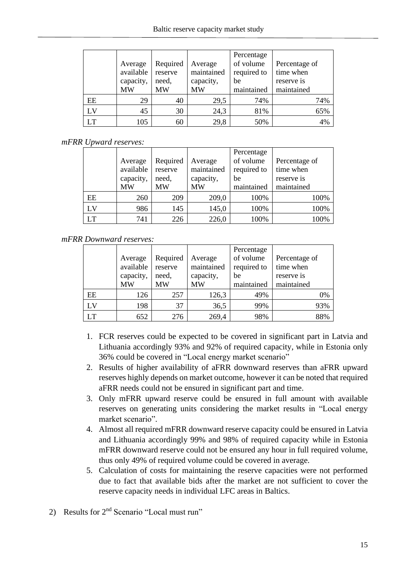|    | Average   | Required | Average    | Percentage<br>of volume | Percentage of |
|----|-----------|----------|------------|-------------------------|---------------|
|    | available | reserve  | maintained | required to             | time when     |
|    | capacity, | need,    | capacity,  | be                      | reserve is    |
|    | <b>MW</b> | MW       | MW         | maintained              | maintained    |
| EE | 29        | 40       | 29,5       | 74%                     | 74%           |
| LV | 45        | 30       | 24,3       | 81%                     | 65%           |
| LT | 105       | 60       | 29,8       | 50%                     | 4%            |

#### *mFRR Upward reserves:*

|    |           |           |            | Percentage  |               |
|----|-----------|-----------|------------|-------------|---------------|
|    | Average   | Required  | Average    | of volume   | Percentage of |
|    | available | reserve   | maintained | required to | time when     |
|    | capacity, | need,     | capacity,  | be          | reserve is    |
|    | MW        | <b>MW</b> | <b>MW</b>  | maintained  | maintained    |
| EE | 260       | 209       | 209,0      | 100%        | 100%          |
| LV | 986       | 145       | 145,0      | 100%        | 100%          |
| LT | 741       | 226       | 226,0      | 100%        | 100%          |

#### *mFRR Downward reserves:*

|    |           |          |            | Percentage  |               |
|----|-----------|----------|------------|-------------|---------------|
|    | Average   | Required | Average    | of volume   | Percentage of |
|    | available | reserve  | maintained | required to | time when     |
|    | capacity, | need,    | capacity,  | be          | reserve is    |
|    | <b>MW</b> | MW       | MW         | maintained  | maintained    |
| EE | 126       | 257      | 126,3      | 49%         | 0%            |
| LV | 198       | 37       | 36,5       | 99%         | 93%           |
| LТ | 652       | 276      | 269,4      | 98%         | 88%           |

- 1. FCR reserves could be expected to be covered in significant part in Latvia and Lithuania accordingly 93% and 92% of required capacity, while in Estonia only 36% could be covered in "Local energy market scenario"
- 2. Results of higher availability of aFRR downward reserves than aFRR upward reserves highly depends on market outcome, however it can be noted that required aFRR needs could not be ensured in significant part and time.
- 3. Only mFRR upward reserve could be ensured in full amount with available reserves on generating units considering the market results in "Local energy market scenario".
- 4. Almost all required mFRR downward reserve capacity could be ensured in Latvia and Lithuania accordingly 99% and 98% of required capacity while in Estonia mFRR downward reserve could not be ensured any hour in full required volume, thus only 49% of required volume could be covered in average.
- 5. Calculation of costs for maintaining the reserve capacities were not performed due to fact that available bids after the market are not sufficient to cover the reserve capacity needs in individual LFC areas in Baltics.
- 2) Results for 2<sup>nd</sup> Scenario "Local must run"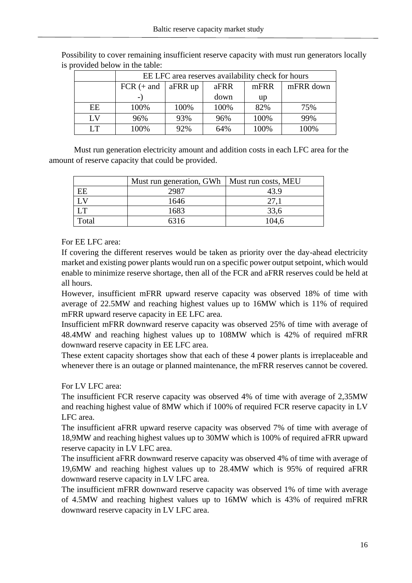|           | EE LFC area reserves availability check for hours |                                      |      |      |      |  |  |  |  |
|-----------|---------------------------------------------------|--------------------------------------|------|------|------|--|--|--|--|
|           | $FCR (+ and$                                      | mFRR down<br>aFRR up<br>mFRR<br>aFRR |      |      |      |  |  |  |  |
|           |                                                   |                                      | up   |      |      |  |  |  |  |
| EE        | 100%                                              | 100%                                 | 100% | 82%  | 75%  |  |  |  |  |
| LV        | 96%                                               | 93%                                  | 96%  | 100% | 99%  |  |  |  |  |
| <b>LT</b> | 100%                                              | 92%                                  | 64%  | 100% | 100% |  |  |  |  |

Possibility to cover remaining insufficient reserve capacity with must run generators locally is provided below in the table:

Must run generation electricity amount and addition costs in each LFC area for the amount of reserve capacity that could be provided.

|       | Must run generation, GWh   Must run costs, MEU |       |
|-------|------------------------------------------------|-------|
| EE    | 2987                                           | 43.9  |
|       | 1646                                           | 27,1  |
| LT    | 1683                                           | 33,6  |
| Total | 6316                                           | 104.6 |

For EE LFC area:

If covering the different reserves would be taken as priority over the day-ahead electricity market and existing power plants would run on a specific power output setpoint, which would enable to minimize reserve shortage, then all of the FCR and aFRR reserves could be held at all hours.

However, insufficient mFRR upward reserve capacity was observed 18% of time with average of 22.5MW and reaching highest values up to 16MW which is 11% of required mFRR upward reserve capacity in EE LFC area.

Insufficient mFRR downward reserve capacity was observed 25% of time with average of 48.4MW and reaching highest values up to 108MW which is 42% of required mFRR downward reserve capacity in EE LFC area.

These extent capacity shortages show that each of these 4 power plants is irreplaceable and whenever there is an outage or planned maintenance, the mFRR reserves cannot be covered.

For LV LFC area:

The insufficient FCR reserve capacity was observed 4% of time with average of 2,35MW and reaching highest value of 8MW which if 100% of required FCR reserve capacity in LV LFC area.

The insufficient aFRR upward reserve capacity was observed 7% of time with average of 18,9MW and reaching highest values up to 30MW which is 100% of required aFRR upward reserve capacity in LV LFC area.

The insufficient aFRR downward reserve capacity was observed 4% of time with average of 19,6MW and reaching highest values up to 28.4MW which is 95% of required aFRR downward reserve capacity in LV LFC area.

The insufficient mFRR downward reserve capacity was observed 1% of time with average of 4.5MW and reaching highest values up to 16MW which is 43% of required mFRR downward reserve capacity in LV LFC area.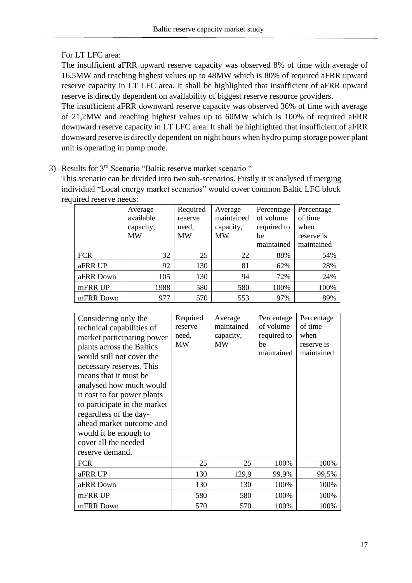#### For LT LFC area:

The insufficient aFRR upward reserve capacity was observed 8% of time with average of 16,5MW and reaching highest values up to 48MW which is 80% of required aFRR upward reserve capacity in LT LFC area. It shall be highlighted that insufficient of aFRR upward reserve is directly dependent on availability of biggest reserve resource providers.

The insufficient aFRR downward reserve capacity was observed 36% of time with average of 21,2MW and reaching highest values up to 60MW which is 100% of required aFRR downward reserve capacity in LT LFC area. It shall be highlighted that insufficient of aFRR downward reserve is directly dependent on night hours when hydro pump storage power plant unit is operating in pump mode.

3) Results for 3<sup>rd</sup> Scenario "Baltic reserve market scenario"

This scenario can be divided into two sub-scenarios. Firstly it is analysed if merging individual "Local energy market scenarios" would cover common Baltic LFC block required reserve needs:

|            | Average<br>available | Required<br>reserve | Average<br>maintained | Percentage<br>of volume | Percentage<br>of time |
|------------|----------------------|---------------------|-----------------------|-------------------------|-----------------------|
|            | capacity,            | need,               | capacity,             | required to             | when                  |
|            | <b>MW</b>            | <b>MW</b>           | <b>MW</b>             | be                      | reserve is            |
|            |                      |                     |                       | maintained              | maintained            |
| <b>FCR</b> | 32                   | 25                  | 22                    | 88%                     | 54%                   |
| aFRR UP    | 92                   | 130                 | 81                    | 62%                     | 28%                   |
| aFRR Down  | 105                  | 130                 | 94                    | 72%                     | 24%                   |
| mFRR UP    | 1988                 | 580                 | 580                   | 100%                    | 100%                  |
| mFRR Down  | 977                  | 570                 | 553                   | 97%                     | 89%                   |

| Considering only the<br>technical capabilities of<br>market participating power<br>plants across the Baltics<br>would still not cover the<br>necessary reserves. This<br>means that it must be.<br>analysed how much would<br>it cost to for power plants<br>to participate in the market<br>regardless of the day-<br>ahead market outcome and<br>would it be enough to<br>cover all the needed<br>reserve demand. | Required<br>reserve<br>need,<br>MW | Average<br>maintained<br>capacity,<br><b>MW</b> | Percentage<br>of volume<br>required to<br>be<br>maintained | Percentage<br>of time<br>when<br>reserve is<br>maintained |
|---------------------------------------------------------------------------------------------------------------------------------------------------------------------------------------------------------------------------------------------------------------------------------------------------------------------------------------------------------------------------------------------------------------------|------------------------------------|-------------------------------------------------|------------------------------------------------------------|-----------------------------------------------------------|
| <b>FCR</b>                                                                                                                                                                                                                                                                                                                                                                                                          | 25                                 | 25                                              | 100%                                                       | 100%                                                      |
| aFRR UP                                                                                                                                                                                                                                                                                                                                                                                                             | 130                                | 129,9                                           | 99,9%                                                      | 99,5%                                                     |
| aFRR Down                                                                                                                                                                                                                                                                                                                                                                                                           | 130                                | 130                                             | 100%                                                       | 100%                                                      |
| mFRR UP                                                                                                                                                                                                                                                                                                                                                                                                             | 580                                | 580                                             | 100%                                                       | 100%                                                      |
| mFRR Down                                                                                                                                                                                                                                                                                                                                                                                                           | 570                                | 570                                             | 100%                                                       | 100%                                                      |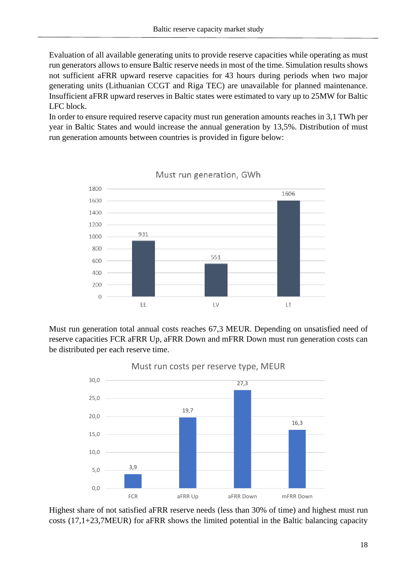Evaluation of all available generating units to provide reserve capacities while operating as must run generators allows to ensure Baltic reserve needs in most of the time. Simulation results shows not sufficient aFRR upward reserve capacities for 43 hours during periods when two major generating units (Lithuanian CCGT and Riga TEC) are unavailable for planned maintenance. Insufficient aFRR upward reserves in Baltic states were estimated to vary up to 25MW for Baltic LFC block.

In order to ensure required reserve capacity must run generation amounts reaches in 3,1 TWh per year in Baltic States and would increase the annual generation by 13,5%. Distribution of must run generation amounts between countries is provided in figure below:



Must run generation, GWh

Must run generation total annual costs reaches 67,3 MEUR. Depending on unsatisfied need of reserve capacities FCR aFRR Up, aFRR Down and mFRR Down must run generation costs can be distributed per each reserve time.



Highest share of not satisfied aFRR reserve needs (less than 30% of time) and highest must run costs (17,1+23,7MEUR) for aFRR shows the limited potential in the Baltic balancing capacity

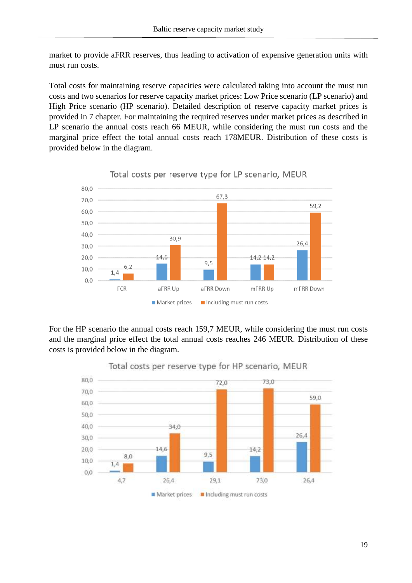market to provide aFRR reserves, thus leading to activation of expensive generation units with must run costs.

Total costs for maintaining reserve capacities were calculated taking into account the must run costs and two scenarios for reserve capacity market prices: Low Price scenario (LP scenario) and High Price scenario (HP scenario). Detailed description of reserve capacity market prices is provided in 7 chapter. For maintaining the required reserves under market prices as described in LP scenario the annual costs reach 66 MEUR, while considering the must run costs and the marginal price effect the total annual costs reach 178MEUR. Distribution of these costs is provided below in the diagram.



Total costs per reserve type for LP scenario, MEUR

For the HP scenario the annual costs reach 159,7 MEUR, while considering the must run costs and the marginal price effect the total annual costs reaches 246 MEUR. Distribution of these costs is provided below in the diagram.



Total costs per reserve type for HP scenario, MEUR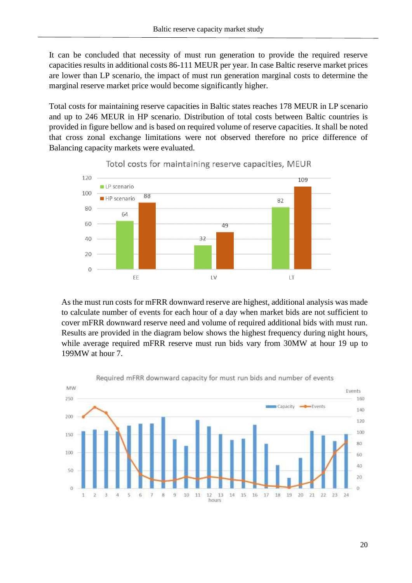It can be concluded that necessity of must run generation to provide the required reserve capacities results in additional costs 86-111 MEUR per year. In case Baltic reserve market prices are lower than LP scenario, the impact of must run generation marginal costs to determine the marginal reserve market price would become significantly higher.

Total costs for maintaining reserve capacities in Baltic states reaches 178 MEUR in LP scenario and up to 246 MEUR in HP scenario. Distribution of total costs between Baltic countries is provided in figure bellow and is based on required volume of reserve capacities. It shall be noted that cross zonal exchange limitations were not observed therefore no price difference of Balancing capacity markets were evaluated.



Totol costs for maintaining reserve capacities, MEUR

As the must run costs for mFRR downward reserve are highest, additional analysis was made to calculate number of events for each hour of a day when market bids are not sufficient to cover mFRR downward reserve need and volume of required additional bids with must run. Results are provided in the diagram below shows the highest frequency during night hours, while average required mFRR reserve must run bids vary from 30MW at hour 19 up to 199MW at hour 7.



Required mFRR downward capacity for must run bids and number of events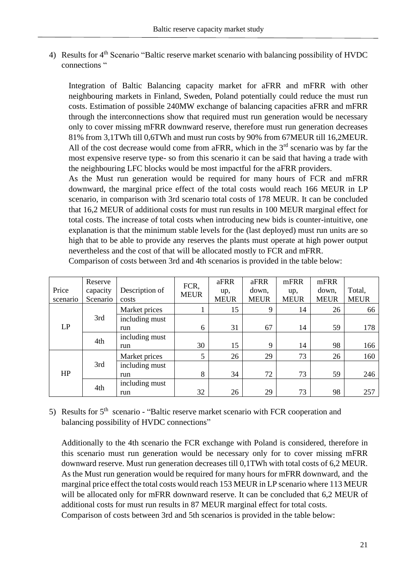4) Results for 4<sup>th</sup> Scenario "Baltic reserve market scenario with balancing possibility of HVDC connections "

Integration of Baltic Balancing capacity market for aFRR and mFRR with other neighbouring markets in Finland, Sweden, Poland potentially could reduce the must run costs. Estimation of possible 240MW exchange of balancing capacities aFRR and mFRR through the interconnections show that required must run generation would be necessary only to cover missing mFRR downward reserve, therefore must run generation decreases 81% from 3,1TWh till 0,6TWh and must run costs by 90% from 67MEUR till 16,2MEUR. All of the cost decrease would come from aFRR, which in the  $3<sup>rd</sup>$  scenario was by far the most expensive reserve type- so from this scenario it can be said that having a trade with the neighbouring LFC blocks would be most impactful for the aFRR providers.

As the Must run generation would be required for many hours of FCR and mFRR downward, the marginal price effect of the total costs would reach 166 MEUR in LP scenario, in comparison with 3rd scenario total costs of 178 MEUR. It can be concluded that 16,2 MEUR of additional costs for must run results in 100 MEUR marginal effect for total costs. The increase of total costs when introducing new bids is counter-intuitive, one explanation is that the minimum stable levels for the (last deployed) must run units are so high that to be able to provide any reserves the plants must operate at high power output nevertheless and the cost of that will be allocated mostly to FCR and mFRR.

|          | Reserve  |                | FCR,        | aFRR        | aFRR        | mFRR        | mFRR        |             |
|----------|----------|----------------|-------------|-------------|-------------|-------------|-------------|-------------|
| Price    | capacity | Description of | <b>MEUR</b> | up,         | down,       | up,         | down,       | Total,      |
| scenario | Scenario | costs          |             | <b>MEUR</b> | <b>MEUR</b> | <b>MEUR</b> | <b>MEUR</b> | <b>MEUR</b> |
|          |          | Market prices  |             | 15          | 9           | 14          | 26          | 66          |
|          | 3rd      | including must |             |             |             |             |             |             |
| LP       |          | run            | 6           | 31          | 67          | 14          | 59          | 178         |
|          | 4th      | including must |             |             |             |             |             |             |
|          |          | run            | 30          | 15          | 9           | 14          | 98          | 166         |
|          |          | Market prices  | 5           | 26          | 29          | 73          | 26          | 160         |
| HP       | 3rd      | including must |             |             |             |             |             |             |
|          |          | run            | 8           | 34          | 72          | 73          | 59          | 246         |
|          | 4th      | including must |             |             |             |             |             |             |
|          |          | run            | 32          | 26          | 29          | 73          | 98          | 257         |

Comparison of costs between 3rd and 4th scenarios is provided in the table below:

5) Results for  $5<sup>th</sup>$  scenario - "Baltic reserve market scenario with FCR cooperation and balancing possibility of HVDC connections"

Additionally to the 4th scenario the FCR exchange with Poland is considered, therefore in this scenario must run generation would be necessary only for to cover missing mFRR downward reserve. Must run generation decreases till 0,1TWh with total costs of 6,2 MEUR. As the Must run generation would be required for many hours for mFRR downward, and the marginal price effect the total costs would reach 153 MEUR in LP scenario where 113 MEUR will be allocated only for mFRR downward reserve. It can be concluded that 6,2 MEUR of additional costs for must run results in 87 MEUR marginal effect for total costs. Comparison of costs between 3rd and 5th scenarios is provided in the table below: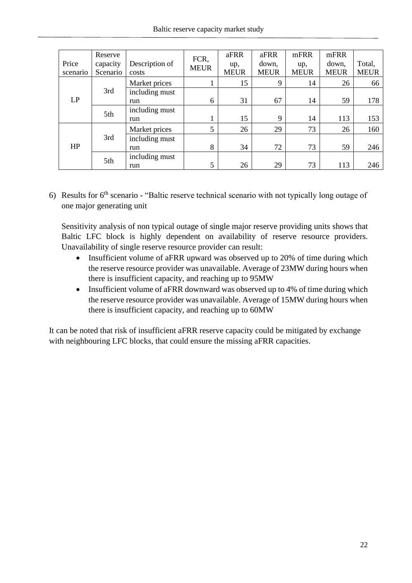|          | Reserve  |                | FCR,        | aFRR        | aFRR        | mFRR        | mFRR        |             |
|----------|----------|----------------|-------------|-------------|-------------|-------------|-------------|-------------|
| Price    | capacity | Description of | <b>MEUR</b> | up,         | down,       | up,         | down,       | Total,      |
| scenario | Scenario | costs          |             | <b>MEUR</b> | <b>MEUR</b> | <b>MEUR</b> | <b>MEUR</b> | <b>MEUR</b> |
|          |          | Market prices  |             | 15          | 9           | 14          | 26          | 66          |
|          | 3rd      | including must |             |             |             |             |             |             |
| LP       |          | run            | 6           | 31          | 67          | 14          | 59          | 178         |
|          | 5th      | including must |             |             |             |             |             |             |
|          |          | run            |             | 15          | 9           | 14          | 113         | 153         |
|          |          | Market prices  | 5           | 26          | 29          | 73          | 26          | 160         |
| HP       | 3rd      | including must |             |             |             |             |             |             |
|          |          | run            | 8           | 34          | 72          | 73          | 59          | 246         |
|          | 5th      | including must |             |             |             |             |             |             |
|          |          | run            | 5           | 26          | 29          | 73          | 113         | 246         |

6) Results for  $6<sup>th</sup>$  scenario - "Baltic reserve technical scenario with not typically long outage of one major generating unit

Sensitivity analysis of non typical outage of single major reserve providing units shows that Baltic LFC block is highly dependent on availability of reserve resource providers. Unavailability of single reserve resource provider can result:

- Insufficient volume of aFRR upward was observed up to 20% of time during which the reserve resource provider was unavailable. Average of 23MW during hours when there is insufficient capacity, and reaching up to 95MW
- Insufficient volume of aFRR downward was observed up to 4% of time during which the reserve resource provider was unavailable. Average of 15MW during hours when there is insufficient capacity, and reaching up to 60MW

It can be noted that risk of insufficient aFRR reserve capacity could be mitigated by exchange with neighbouring LFC blocks, that could ensure the missing aFRR capacities.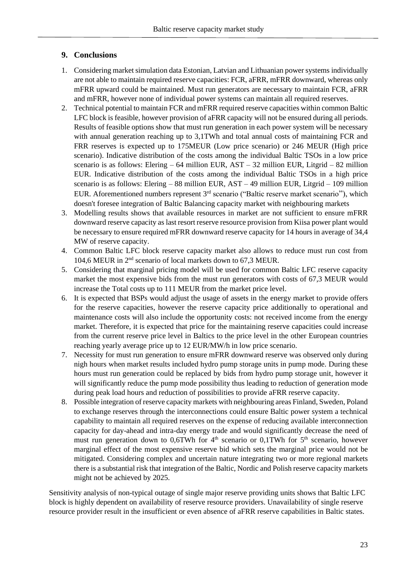#### <span id="page-22-0"></span>**9. Conclusions**

- 1. Considering market simulation data Estonian, Latvian and Lithuanian power systems individually are not able to maintain required reserve capacities: FCR, aFRR, mFRR downward, whereas only mFRR upward could be maintained. Must run generators are necessary to maintain FCR, aFRR and mFRR, however none of individual power systems can maintain all required reserves.
- 2. Technical potential to maintain FCR and mFRR required reserve capacities within common Baltic LFC block is feasible, however provision of aFRR capacity will not be ensured during all periods. Results of feasible options show that must run generation in each power system will be necessary with annual generation reaching up to 3,1TWh and total annual costs of maintaining FCR and FRR reserves is expected up to 175MEUR (Low price scenario) or 246 MEUR (High price scenario). Indicative distribution of the costs among the individual Baltic TSOs in a low price scenario is as follows: Elering  $-64$  million EUR, AST  $-32$  million EUR, Litgrid  $-82$  million EUR. Indicative distribution of the costs among the individual Baltic TSOs in a high price scenario is as follows: Elering – 88 million EUR, AST – 49 million EUR, Litgrid – 109 million EUR. Aforementioned numbers represent  $3<sup>rd</sup>$  scenario ("Baltic reserve market scenario"), which doesn't foresee integration of Baltic Balancing capacity market with neighbouring markets
- 3. Modelling results shows that available resources in market are not sufficient to ensure mFRR downward reserve capacity as last resort reserve resource provision from Kiisa power plant would be necessary to ensure required mFRR downward reserve capacity for 14 hours in average of 34,4 MW of reserve capacity.
- 4. Common Baltic LFC block reserve capacity market also allows to reduce must run cost from 104,6 MEUR in 2nd scenario of local markets down to 67,3 MEUR.
- 5. Considering that marginal pricing model will be used for common Baltic LFC reserve capacity market the most expensive bids from the must run generators with costs of 67,3 MEUR would increase the Total costs up to 111 MEUR from the market price level.
- 6. It is expected that BSPs would adjust the usage of assets in the energy market to provide offers for the reserve capacities, however the reserve capacity price additionally to operational and maintenance costs will also include the opportunity costs: not received income from the energy market. Therefore, it is expected that price for the maintaining reserve capacities could increase from the current reserve price level in Baltics to the price level in the other European countries reaching yearly average price up to 12 EUR/MW/h in low price scenario.
- 7. Necessity for must run generation to ensure mFRR downward reserve was observed only during nigh hours when market results included hydro pump storage units in pump mode. During these hours must run generation could be replaced by bids from hydro pump storage unit, however it will significantly reduce the pump mode possibility thus leading to reduction of generation mode during peak load hours and reduction of possibilities to provide aFRR reserve capacity.
- 8. Possible integration of reserve capacity markets with neighbouring areas Finland, Sweden, Poland to exchange reserves through the interconnections could ensure Baltic power system a technical capability to maintain all required reserves on the expense of reducing available interconnection capacity for day-ahead and intra-day energy trade and would significantly decrease the need of must run generation down to 0,6TWh for  $4<sup>th</sup>$  scenario or 0,1TWh for  $5<sup>th</sup>$  scenario, however marginal effect of the most expensive reserve bid which sets the marginal price would not be mitigated. Considering complex and uncertain nature integrating two or more regional markets there is a substantial risk that integration of the Baltic, Nordic and Polish reserve capacity markets might not be achieved by 2025.

Sensitivity analysis of non-typical outage of single major reserve providing units shows that Baltic LFC block is highly dependent on availability of reserve resource providers. Unavailability of single reserve resource provider result in the insufficient or even absence of aFRR reserve capabilities in Baltic states.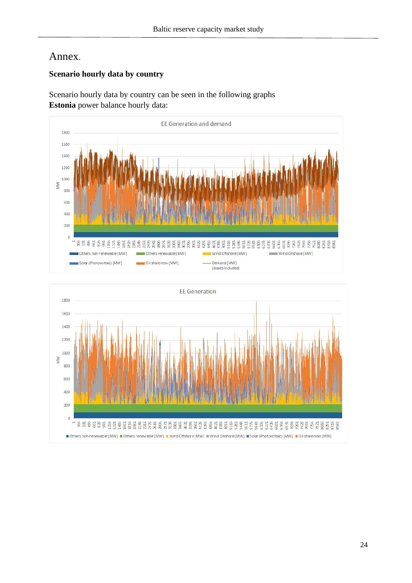## Annex.

#### **Scenario hourly data by country**

Scenario hourly data by country can be seen in the following graphs **Estonia** power balance hourly data:



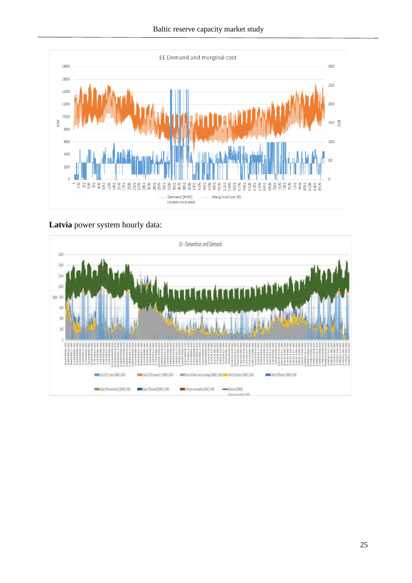

**Latvia** power system hourly data:

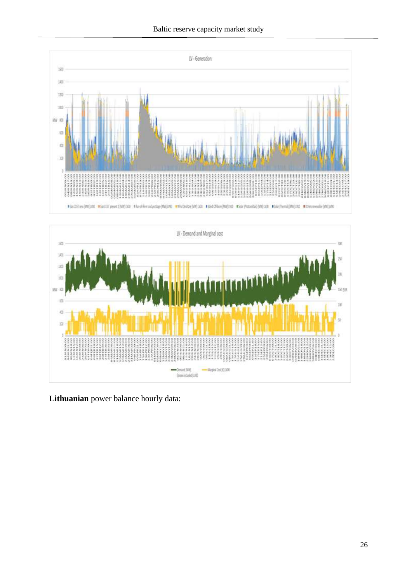



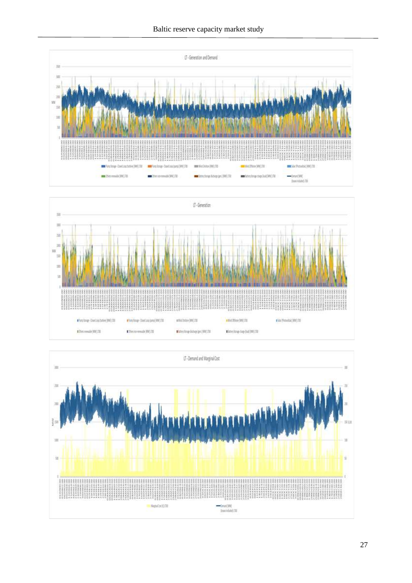



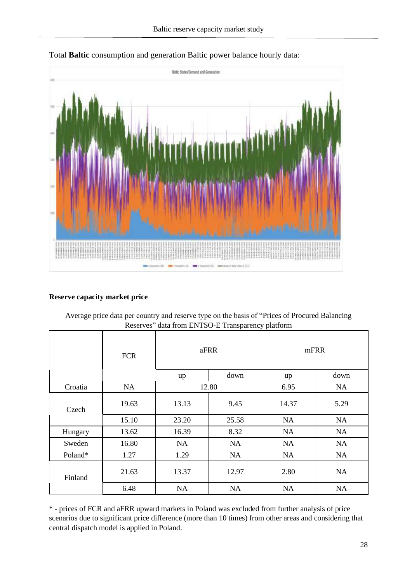



#### **Reserve capacity market price**

| Average price data per country and reserve type on the basis of "Prices of Procured Balancing" |
|------------------------------------------------------------------------------------------------|
| Reserves" data from ENTSO-E Transparency platform                                              |

|         | <b>FCR</b> | aFRR  |       |           | mFRR      |
|---------|------------|-------|-------|-----------|-----------|
|         |            | up    | down  | up        | down      |
| Croatia | <b>NA</b>  | 12.80 |       | 6.95      | <b>NA</b> |
| Czech   | 19.63      | 13.13 | 9.45  | 14.37     | 5.29      |
|         | 15.10      | 23.20 | 25.58 | <b>NA</b> | NA        |
| Hungary | 13.62      | 16.39 | 8.32  | NA        | <b>NA</b> |
| Sweden  | 16.80      | NA    | NA    | <b>NA</b> | NA        |
| Poland* | 1.27       | 1.29  | NA    | NA        | NA        |
| Finland | 21.63      | 13.37 | 12.97 | 2.80      | <b>NA</b> |
|         | 6.48       | NA    | NA    | <b>NA</b> | NA        |

\* - prices of FCR and aFRR upward markets in Poland was excluded from further analysis of price scenarios due to significant price difference (more than 10 times) from other areas and considering that central dispatch model is applied in Poland.